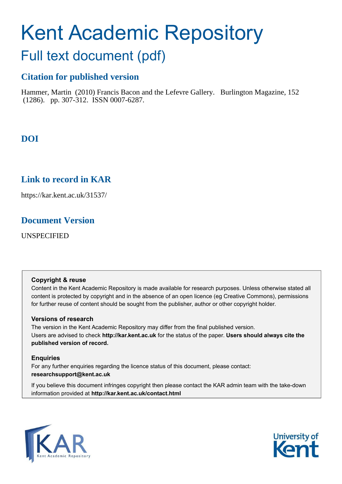# Kent Academic Repository Full text document (pdf)

## **Citation for published version**

Hammer, Martin (2010) Francis Bacon and the Lefevre Gallery. Burlington Magazine, 152 (1286). pp. 307-312. ISSN 0007-6287.

**DOI**

## **Link to record in KAR**

https://kar.kent.ac.uk/31537/

### **Document Version**

UNSPECIFIED

#### **Copyright & reuse**

Content in the Kent Academic Repository is made available for research purposes. Unless otherwise stated all content is protected by copyright and in the absence of an open licence (eg Creative Commons), permissions for further reuse of content should be sought from the publisher, author or other copyright holder.

#### **Versions of research**

The version in the Kent Academic Repository may differ from the final published version. Users are advised to check **http://kar.kent.ac.uk** for the status of the paper. **Users should always cite the published version of record.**

#### **Enquiries**

For any further enquiries regarding the licence status of this document, please contact: **researchsupport@kent.ac.uk**

If you believe this document infringes copyright then please contact the KAR admin team with the take-down information provided at **http://kar.kent.ac.uk/contact.html**



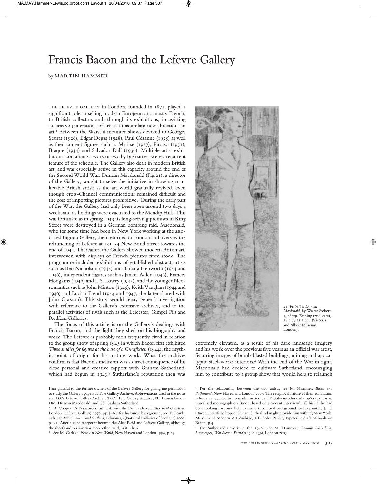

by MARTIN HAMMER

THE LEFEVRE GALLERY in London, founded in 1871, played a significant role in selling modern European art, mostly French, to British collectors and, through its exhibitions, in assisting successive generations of artists to assimilate new directions in art.<sup>1</sup> Between the Wars, it mounted shows devoted to Georges Seurat (1926), Edgar Degas (1928), Paul Cézanne (1935) as well as then current figures such as Matisse (1927), Picasso (1931), Braque (1934) and Salvador Dalí (1936). Multiple-artist exhibitions, containing a work or two by big names, were a recurrent feature of the schedule. The Gallery also dealt in modern British art, and was especially active in this capacity around the end of the Second World War. Duncan Macdonald (Fig.21), a director of the Gallery, sought to seize the initiative in showing marketable British artists as the art world gradually revived, even though cross-Channel communications remained difficult and the cost of importing pictures prohibitive.<sup>2</sup> During the early part of the War, the Gallery had only been open around two days a week, and its holdings were evacuated to the Mendip Hills. This was fortunate as in spring 1943 its long-serving premises in King Street were destroyed in a German bombing raid. Macdonald, who for some time had been in New York working at the associated Bignou Gallery, then returned to London and oversaw the relaunching of Lefevre at 131–34 New Bond Street towards the end of 1944. Thereafter, the Gallery showed modern British art, interwoven with displays of French pictures from stock. The programme included exhibitions of established abstract artists such as Ben Nicholson (1945) and Barbara Hepworth (1944 and 1946), independent figures such as Jankel Adler (1946), Frances Hodgkins (1946) and L.S. Lowry (1945), and the younger Neoromantics such as John Minton (1945), Keith Vaughan (1944 and 1946) and Lucian Freud (1944 and 1947, the latter shared with John Craxton). This story would repay general investigation with reference to the Gallery's extensive archives, and to the parallel activities of rivals such as the Leicester, Gimpel Fils and Redfern Galleries.

The focus of this article is on the Gallery's dealings with Francis Bacon, and the light they shed on his biography and work. The Lefevre is probably most frequently cited in relation to the group show of spring 1945 in which Bacon first exhibited *Three studies for figures at the base of a Crucifixion* (1944), the mythic point of origin for his mature work. What the archives confirm is that Bacon's inclusion was a direct consequence of his close personal and creative rapport with Graham Sutherland, which had begun in 1943.<sup>3</sup> Sutherland's reputation then was



21. *Portrait of Duncan Macdonald*, by Walter Sickert. 1928/29. Etching (2nd state), 28.6 by 21.1 cm. (Victoria and Albert Museum, London).

extremely elevated, as a result of his dark landscape imagery and his work over the previous five years as an official war artist, featuring images of bomb-blasted buildings, mining and apocalyptic steel-works interiors.<sup>4</sup> With the end of the War in sight, Macdonald had decided to cultivate Sutherland, encouraging him to contribute to a group show that would help to relaunch

<sup>4</sup> On Sutherland's work in the 1940s, see M. Hammer: *Graham Sutherland: Landscapes, War Scenes, Portraits 1924–1950*, London 2005.

I am grateful to the former owners of the Lefevre Gallery for giving me permission to study the Gallery's papers at Tate Gallery Archive. Abbreviations used in the notes are: LGA: Lefevre Gallery Archive, TGA: Tate Gallery Archive; FB: Francis Bacon; DM: Duncan Macdonald; and GS: Graham Sutherland.

<sup>1</sup> D. Cooper: 'A Franco-Scottish link with the Past', exh. cat. *Alex Reid & Lefevre*, London (Lefevre Gallery) 1976, pp.3–26; for historical background, see F. Fowle: exh. cat. *Impressionism and Scotland*, Edinburgh (National Galleries of Scotland) 2008, p.141. After a 1926 merger it became the Alex Reid and Lefevre Gallery, although the shorthand version was more often used, as it is here.

<sup>2</sup> See M. Garlake: *New Art New World*, New Haven and London 1998, p.25.

<sup>3</sup> For the relationship between the two artists, see M. Hammer: *Bacon and Sutherland*, New Haven and London 2005. The reciprocal nature of their admiration is further suggested in a remark inserted by J.T. Soby into his early 1960s text for an unrealised monograph on Bacon, based on a 'recent interview': 'all his life he had been looking for some help to find a theoretical background for his painting [. . .] Once in his life he hoped Graham Sutherland might provide him with it'; New York, Museum of Modern Art Archive, J.T. Soby Papers, typescript draft of book on Bacon, p.4.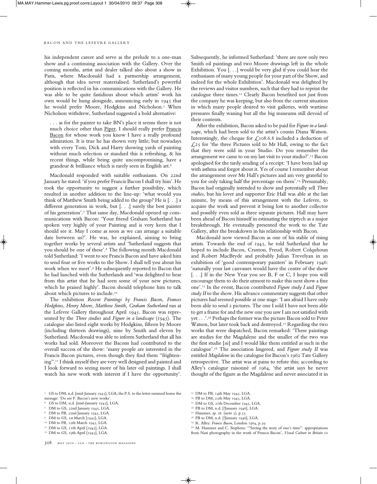#### BACON AND THE LEFEVRE GALLERY

his independent career and serve as the prelude to a one-man show and a continuing association with the Gallery. Over the coming months, artist and dealer talked also about a show in Paris, where Macdonald had a partnership arrangement, although that idea never materialised. Sutherland's powerful position is reflected in his communications with the Gallery. He was able to be quite fastidious about which artists' work his own would be hung alongside, announcing early in 1945 that he would prefer Moore, Hodgkins and Nicholson.<sup>5</sup> When Nicholson withdrew, Sutherland suggested a bold alternative:

. . . as for the painter to take BN's place it seems there is not much choice other than Piper. I should really prefer Francis Bacon for whose work you know I have a really profound admiration. It is true he has shown very little; but nowadays with every Tom, Dick and Harry showing yards of painting without much selection or standard this is refreshing, & his recent things, while being quite uncompromising, have a grandeur & brilliance which is rarely seen in English art.<sup>6</sup>

Macdonald responded with suitable enthusiasm. On 22nd January he stated: 'if you prefer Francis Bacon I shall try him'.He took the opportunity to suggest a further possibility, which resulted in another addition to the line-up: 'what would you think of Matthew Smith being added to the group? He is [. . .] a different generation in work, but [. . .] surely the best painter of his generation'.<sup>7</sup> That same day, Macdonald opened up communications with Bacon: 'Your friend Graham Sutherland has spoken very highly of your Painting and is very keen that I should see it. May I come as soon as we can arrange a suitable date between us?'. He was, he explained, aiming to bring together works by several artists and 'Sutherland suggests that you should be one of these'.<sup>8</sup> The following month Macdonald told Sutherland: 'I went to see Francis Bacon and have asked him to send four or five works to the Show. I shall tell you about his work when we meet'.<sup>9</sup> He subsequently reported to Bacon that he had lunched with the Sutherlands and 'was delighted to hear from this artist that he had seen some of your new pictures, which he praised highly'. Bacon should telephone him to talk about which pictures to include.<sup>10</sup>

The exhibition *Recent Paintings by Francis Bacon, Frances Hodgkins, Henry Moore, Matthew Smith, Graham Sutherland* ran at the Lefevre Gallery throughout April 1945. Bacon was represented by the *Three studies* and *Figure in a landscape* (1945). The catalogue also listed eight works by Hodgkins, fifteen by Moore (including thirteen drawings), nine by Smith and eleven by Sutherland. Macdonald was able to inform Sutherland that all his works had sold. Moreover the Bacons had contributed to the overall success of the show: 'many people are interested in the Francis Bacon pictures, even though they find them "frightening".<sup>11</sup> I think myself they are very well designed and painted and I look forward to seeing more of his later oil paintings. I shall watch his new work with interest if I have the opportunity'.

<sup>5</sup> GS to DM, n.d. [mid-January 1945], LGA; the P.S. to the letter rammed home the message: 'Do see F. Bacon's new works'.

- <sup>6</sup> GS to DM, n.d. [mid-January 1945], LGA.
- 
- <sup>7</sup> DM to GS, 22nd January 1945, LGA.
- DM to FB, 22nd January 1945, LGA.
- <sup>9</sup> DM to GS, 1st March [1945], LGA.
- <sup>10</sup> DM to FB, 12th March 1945, LGA.
- <sup>11</sup> DM to GS, 11th April [1945], LGA.
- <sup>12</sup> DM to GS, 19th April [1945], LGA.

308 may 2010 • cliI • the burlington magazine

Subsequently, he informed Sutherland: 'there are now only two Smith oil paintings and two Moore drawings left in the whole Exhibition. You [. . .] would be very glad if you could hear the enthusiasm of many young people for your part of the Show, and indeed for the whole Exhibition'. Macdonald was delighted by the reviews and visitor numbers, such that they had to reprint the catalogue three times.<sup>12</sup> Clearly Bacon benefited not just from the company he was keeping, but also from the current situation in which many people desired to visit galleries, with wartime pressures finally waning but all the big museums still devoid of their contents.

After the exhibition, Bacon asked to be paid for *Figure in a landscape*, which had been sold to the artist's cousin Diana Watson. Interestingly, the cheque for  $\mathcal{L}$ 108.6.8 included a deduction of  $\text{\emph{L25}}$  for 'the three Pictures sold to Mr Hall, owing to the fact that they were sold in your Studio. Do you remember the arrangement we came to on my last visit to your studio?'.<sup>13</sup> Bacon apologised for the tardy sending of a receipt: 'I have been laid up with asthma and forgot about it. Yes of course I remember about the arrangement over Mr Hall's pictures and am very grateful to you for only taking half the percentage on them'.<sup>14</sup> Presumably, Bacon had originally intended to show and potentially sell *Three studies*, but his lover and supporter Eric Hall was able at the last minute, by means of this arrangement with the Lefevre, to acquire the work and prevent it being lost to another collector and possibly even sold as three separate pictures. Hall may have been ahead of Bacon himself in estimating the triptych as a major breakthrough. He eventually presented the work to the Tate Gallery, after the breakdown in his relationship with Bacon.

Macdonald now viewed Bacon as one of his stable of rising artists. Towards the end of 1945, he told Sutherland that he hoped to include Bacon, Craxton, Freud, Robert Colquhoun and Robert MacBryde and probably Julian Trevelyan in an exhibition of 'good contemporary painters' in February 1946: 'naturally your last canvasses would have the centre of the show [...] If in the New Year you see B, F or C, I hope you will encourage them to do their utmost to make this next show a fine one'.<sup>15</sup> In the event, Bacon contributed *Figure study I* and *Figure study II* to the show. His advance commentary suggests that other pictures had seemed possible at one stage: 'I am afraid I have only been able to send 2 pictures. The one I sold I have not been able to get a frame for and the new one you saw I am not satisfied with yet . . .'.<sup>16</sup> Perhaps the former was the picture Bacon sold to Peter Watson, but later took back and destroyed.<sup>17</sup> Regarding the two works that were dispatched, Bacon remarked: 'These paintings are studies for the Magdalene and the smaller of the two was the first studie [*sic*] and I would like them entitled as such in the catalogue'.<sup>18</sup> The association lingered, and *Figure study II* was entitled *Magdalene* in the catalogue for Bacon's 1962 Tate Gallery retrospective. The artist was at pains to refute this; according to Alley's catalogue raisonné of 1964, 'the artist says he never thought of the figure as the Magdalene and never associated it in

- <sup>14</sup> FB to DM, 25th May 1945, LGA.
- <sup>15</sup> DM to GS, 27th December 1945, LGA.
- <sup>16</sup> FB to DM, n.d. [?January 1946], LGA.
- <sup>17</sup> Hammer, *op. cit.* (note 3), p.55.
- <sup>18</sup> FB to DM, n.d. [?January 1946], LGA.
- <sup>19</sup> R. Alley: *Francis Bacon*, London 1964, p.39.

<sup>13</sup> DM to FB, 14th May 1945, LGA.

<sup>&</sup>lt;sup>20</sup> M. Hammer and C. Stephens: "Seeing the story of one's time": appropriations from Nazi photography in the work of Francis Bacon', *Visual Culture in Britain* 10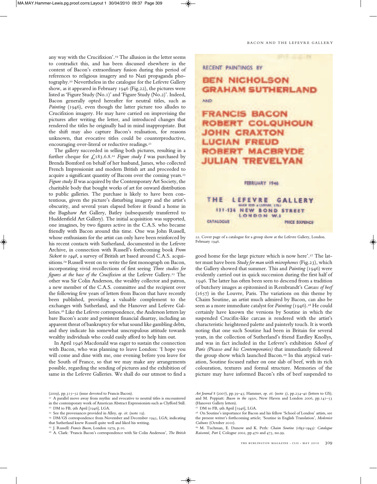any way with the Crucifixion'.<sup>19</sup> The allusion in the letter seems to contradict this, and has been discussed elsewhere in the context of Bacon's extraordinary fusion during this period of references to religious imagery and to Nazi propaganda photography.<sup>20</sup> Nevertheless in the catalogue for the Lefevre Gallery show, as it appeared in February 1946 (Fig.22), the pictures were listed as 'Figure Study (No.1)' and 'Figure Study (No.2)'. Indeed, Bacon generally opted hereafter for neutral titles, such as *Painting* (1946), even though the latter picture too alludes to Crucifixion imagery. He may have carried on improvising the pictures after writing the letter, and introduced changes that rendered the titles he originally had in mind inappropriate. But the shift may also capture Bacon's realisation, for reasons unknown, that evocative titles could be counterproductive, encouraging over-literal or reductive readings.<sup>21</sup>

The gallery succeeded in selling both pictures, resulting in a further cheque for  $\mathcal{L}$ , 183.6.8.<sup>22</sup> *Figure study I* was purchased by Brenda Bomford on behalf of her husband, James, who collected French Impressionist and modern British art and proceeded to acquire a significant quantity of Bacons over the coming years.<sup>23</sup> *Figure study II* was acquired by the Contemporary Art Society, the charitable body that bought works of art for onward distribution to public galleries. The purchase is likely to have been contentious, given the picture's disturbing imagery and the artist's obscurity, and several years elapsed before it found a home in the Bagshaw Art Gallery, Batley (subsequently transferred to Huddersfield Art Gallery). The initial acquisition was supported, one imagines, by two figures active in the C.A.S. who became friendly with Bacon around this time. One was John Russell, whose enthusiasm for the artist can only have been reinforced by his recent contacts with Sutherland, documented in the Lefevre Archive, in connection with Russell's forthcoming book *From Sickert to 1948*, a survey of British art based around C.A.S. acquisitions.<sup>24</sup> Russell went on to write the first monograph on Bacon, incorporating vivid recollections of first seeing *Three studies for figures at the base of the Crucifixion* at the Lefevre Gallery.<sup>25</sup> The other was Sir Colin Anderson, the wealthy collector and patron, a new member of the C.A.S. committee and the recipient over the following few years of letters from Bacon that have recently been published, providing a valuable complement to the exchanges with Sutherland, and the Hanover and Lefevre Galleries.<sup>26</sup> Like the Lefevre correspondence, the Anderson letters lay bare Bacon's acute and persistent financial disarray, including an apparent threat of bankruptcy for what sound like gambling debts, and they indicate his somewhat unscrupulous attitude towards wealthy individuals who could easily afford to help him out.

In April 1946 Macdonald was eager to sustain the connection with Bacon, who was planning to leave London: 'I hope you will come and dine with me, one evening before you leave for the South of France, so that we may make any arrangements pos sible, regarding the sending of pictures and the exhibition of same in the Lefevre Galleries. We shall do our utmost to find a

- <sup>23</sup> See the provenances provided in Alley, *op. cit.* (note 19).
- <sup>24</sup> DM/GS correspondence from November and December 1945, LGA; indicating

- <sup>25</sup> J. Russell: *Francis Bacon*, London 1979, p.10.
- <sup>26</sup> A. Clark: 'Francis Bacon's correspondence with Sir Colin Anderson', *The British*

#### BACON AND THE LEFEVRE GALLERY

#### RECENT PAINTINGS BY

## **BEN NICHOLSON GRAHAM SUTHERLAND**

AND

**FRANCIS BACON** ROBERT COLQUHOUN **JOHN CRAXTON LUCIAN FREUD OBERT MACBRYDE JULIAN TREVELYAN** 

FEBRUARY 1946

#### LEFEVRE THE **GALLERY** ALEX IEID a LEREVIE, LTD. 131-134 **NEW BOND STREET** LONDON W.I CATALOGUE **PRICE SXPENCE**

22. Cover page of a catalogue for a group show at the Lefevre Gallery, London. February 1946.

good home for the large picture which is now here'.<sup>27</sup> The latter must have been *Study for man with microphones* (Fig.23), which the Gallery showed that summer. This and *Painting* (1946) were evidently carried out in quick succession during the first half of 1946. The latter has often been seen to descend from a tradition of butchery images as epitomised in Rembrandt's *Carcass of beef*  $(1657)$  in the Louvre, Paris. The variations on this theme by Chaim Soutine, an artist much admired by Bacon, can also be seen as a more immediate catalyst for *Painting* (1946).<sup>28</sup> He could certainly have known the versions by Soutine in which the suspended Crucifix-like carcass is rendered with the artist's characteristic heightened palette and painterly touch. It is worth noting that one such Soutine had been in Britain for several years, in the collection of Sutherland's friend Eardley Knollys, and was in fact included in the Lefevre's exhibition *School of Paris (Picasso and his Contemporaries)* that immediately followed the group show which launched Bacon.<sup>29</sup> In this atypical variation, Soutine focused rather on one slab of beef, with its rich colouration, textures and formal structure. Memories of the picture may have informed Bacon's ribs of beef suspended to

◈

<sup>(2009),</sup> pp.315–52 (issue devoted to Francis Bacon).

<sup>&</sup>lt;sup>21</sup> A parallel move away from mythic and evocative to neutral titles is encountered in the contemporary work of American Abstract Expressionists such as Clyfford Still. <sup>22</sup> DM to FB, 9th April [1946], LGA.

that Sutherland knew Russell quite well and liked his writing.

*Art Journal* 8 (2007), pp.39–43; Hammer, *op. cit.* (note 3), pp.234–40 (letters to GS); and M. Peppiatt: *Bacon in the 1950s*, New Haven and London 2006, pp.141–53 (Hanover Gallery letters).

<sup>&</sup>lt;sup>27</sup> DM to FB, 9th April [1946], LGA.

<sup>&</sup>lt;sup>28</sup> On Soutine's importance for Bacon and his fellow 'School of London' artists, see the present writer's forthcoming article; 'Soutine in English Translation', *Modernist Cultures* (October 2010).

<sup>29</sup> M. Tuchman, E. Dunow and K. Perls: *Chaim Soutine (1893–1943): Catalogue Raisonné, Part I*, Cologne 2002, pp.470 and 473, no.99.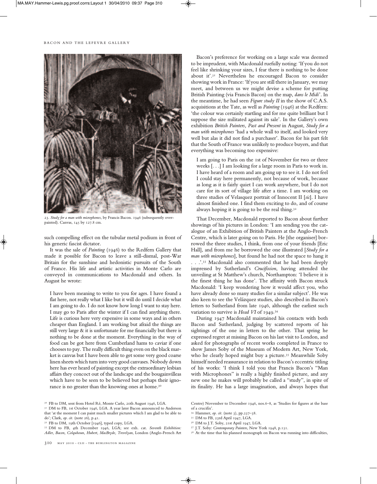#### BACON AND THE LEFEVRE GALLERY



23. *Study for a man with microphones*, by Francis Bacon. 1946 (subsequently overpainted). Canvas, 145 by 127.8 cm.

such compelling effect on the tubular metal podium in front of his generic fascist dictator.

It was the sale of *Painting* (1946) to the Redfern Gallery that made it possible for Bacon to leave a still-dismal, post-War Britain for the sunshine and hedonistic pursuits of the South of France. His life and artistic activities in Monte Carlo are conveyed in communications to Macdonald and others. In August he wrote:

I have been meaning to write to you for ages. I have found a flat here, not really what I like but it will do until I decide what I am going to do. I do not know how long I want to stay here. I may go to Paris after the winter if I can find anything there. Life is curious here very expensive in some ways and in others cheaper than England. I am working but afraid the things are still very large & it is unfortunate for me financially but there is nothing to be done at the moment. Everything in the way of food can be got here from Cumberland hams to caviar if one chooses to pay. The really difficult thing even on the black market is canvas but I have been able to get some very good coarse linen sheets which turn into very good canvases. Nobody down here has ever heard of painting except the extraordinary lesbian affairs they concoct out of the landscape and the bougainvilleas which have to be seen to be believed but perhaps their ignorance is no greater than the knowing ones at home.<sup>30</sup>

<sup>30</sup> FB to DM, sent from Hotel Ré, Monte Carlo, 20th August 1946, LGA.

<sup>31</sup> DM to FB, 1st October 1946, LGA. A year later Bacon announced to Anderson that 'at the moment I can paint much smaller pictures which I am glad to be able to do'; Clark, *op. cit.* (note 26), p.41.

<sup>32</sup> FB to DM, 19th October [1946], typed copy, LGA.

<sup>33</sup> DM to FB, 4th December 1946, LGA; see exh. cat. *Seventh Exhibition: Adler, Bacon, Colquhoun, Hubert, MacBryde, Trevelyan*, London (Anglo-French Art

310 may 2010 • cliI • the burlington magazine

Bacon's preference for working on a large scale was deemed to be imprudent, with Macdonald ruefully noting: 'If you do not feel like shrinking your sizes, I fear there is nothing to be done about it'.<sup>31</sup> Nevertheless he encouraged Bacon to consider showing work in France: 'If you are still there in January, we may meet, and between us we might devise a scheme for putting British Painting (via Francis Bacon) on the map, *dans le Midi*'. In the meantime, he had seen *Figure study II* in the show of C.A.S. acquisitions at the Tate, as well as *Painting* (1946) at the Redfern: 'the colour was certainly startling and for me quite brilliant but I suppose the size militated against its sale'. In the Gallery's own exhibition *British Painters, Past and Present* in August, *Study for a man with microphones* 'had a whole wall to itself, and looked very well but alas it did not find a purchaser'. Bacon for his part felt that the South of France was unlikely to produce buyers, and that everything was becoming too expensive:

I am going to Paris on the 1st of November for two or three weeks [. . .] I am looking for a large room in Paris to work in. I have heard of a room and am going up to see it. I do not feel I could stay here permanently, not because of work, because as long as it is fairly quiet I can work anywhere, but I do not care for its sort of village life after a time. I am working on three studies of Velasquez portrait of Innocent II [*sic*]. I have almost finished one. I find them exciting to do, and of course always hoping it is going to be the real thing.<sup>32</sup>

That December, Macdonald reported to Bacon about further showings of his pictures in London: 'I am sending you the catalogue of an Exhibition of British Painters at the Anglo-French Centre, which is later going on to Paris. He [the organiser] borrowed the three studies, I think, from one of your friends [Eric Hall], and from me he borrowed the one illustrated [*Study for a man with microphones*], but found he had not the space to hang it . . .'.<sup>33</sup> Macdonald also commented that he had been deeply impressed by Sutherland's *Crucifixion*, having attended the unveiling at St Matthew's church, Northampton: 'I believe it is the finest thing he has done'. The affinity with Bacon struck Macdonald: 'I keep wondering how it would affect you, who have already done so many studies for a similar subject'. He was also keen to see the Velázquez studies, also described in Bacon's letters to Sutherland from late 1946, although the earliest such variation to survive is *Head VI* of 1949.<sup>34</sup>

During 1947 Macdonald maintained his contacts with both Bacon and Sutherland, judging by scattered reports of his sightings of the one in letters to the other. That spring he expressed regret at missing Bacon on his last visit to London, and asked for photographs of recent works completed in France to show James Soby of the Museum of Modern Art, New York, who he clearly hoped might buy a picture.<sup>35</sup> Meanwhile Soby himself needed reassurance in relation to Bacon's eccentric titling of his works: 'I think I told you that Francis Bacon's "Man with Microphones" is really a highly finished picture, and any new one he makes will probably be called a "study", in spite of its finality. He has a large imagination, and always hopes that

- <sup>35</sup> DM to FB, 23rd April 1947, LGA.
- <sup>36</sup> DM to J.T. Soby, 21st April 1947, LGA.
- <sup>37</sup> J.T. Soby: *Contemporary Painters*, New York 1948, p.151.
- $^{38}\,$  At the time that his planned monograph on Bacon was running into difficulties,

Centre) November to December 1946, nos.6–8, as 'Studies for figures at the base of a crucifix'.

<sup>34</sup> Hammer, *op. cit.* (note 3), pp.237–38.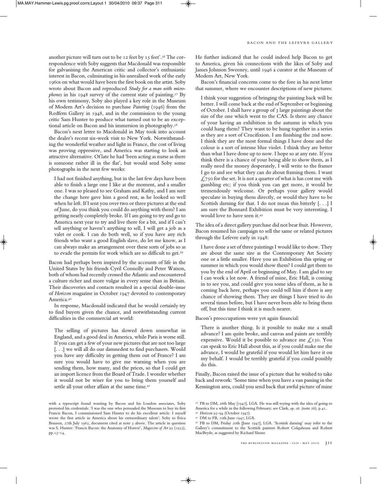another picture will turn out to be 12 feet by 15 feet'.<sup>36</sup> The correspondence with Soby suggests that Macdonald was responsible for galvanising the American critic and collector's enthusiastic interest in Bacon, culminating in his unrealised work of the early 1960s on what would have been the first book on the artist. Soby wrote about Bacon and reproduced *Study for a man with microphones* in his 1948 survey of the current state of painting.<sup>37</sup> By his own testimony, Soby also played a key role in the Museum of Modern Art's decision to purchase *Painting* (1946) from the Redfern Gallery in 1948, and in the commission to the young critic Sam Hunter to produce what turned out to be an exceptional article on Bacon and his immersion in photography.<sup>38</sup>

Bacon's next letter to Macdonald in May took into account the dealer's recent six-week visit to New York. Notwithstanding the wonderful weather and light in France, the cost of living was proving oppressive, and America was starting to look an attractive alternative. Of late he had 'been acting as nurse as there is someone rather ill in the flat', but would send Soby some photographs in the next few weeks:

I had not finished anything, but in the last few days have been able to finish a large one I like at the moment, and a smaller one. I was so pleased to see Graham and Kathy, and I am sure the change here gave him a good rest, as he looked so well when he left. If I sent you over two or three pictures at the end of June, do you think you could do anything with them? I am getting nearly completely broke. If I am going to try and go to America next year to try and live there for a bit, and if I can't sell anything or haven't anything to sell, I will get a job as a valet or cook. I can do both well, so if you have any rich friends who want a good English slave, do let me know, as I can always make an arrangement over these sorts of jobs so as to evade the permits for work which are so difficult to get.<sup>39</sup>

Bacon had perhaps been inspired by the accounts of life in the United States by his friends Cyril Connolly and Peter Watson, both of whom had recently crossed the Atlantic and encountered a culture richer and more vulgar in every sense than in Britain. Their discoveries and contacts resulted in a special double-issue of *Horizon* magazine in October 1947 devoted to contemporary America.<sup>40</sup>

In response, Macdonald indicated that he would certainly try to find buyers given the chance, and notwithstanding current difficulties in the commercial art world:

The selling of pictures has slowed down somewhat in England, and a good deal in America, while Paris is worse still. If you can get a few of your new pictures that are not too large [...] we will all do our damnedest to find purchasers. Would you have any difficulty in getting them out of France? I am sure you would have to give me warning when you are sending them, how many, and the prices, so that I could get an import licence from the Board of Trade. I wonder whether it would not be wiser for you to bring them yourself and settle all your other affairs at the same time.<sup>41</sup>

He further indicated that he could indeed help Bacon to get to America, given his connections with the likes of Soby and James Johnson Sweeney, until 1946 a curator at the Museum of Modern Art, New York.

Bacon's financial concerns come to the fore in his next letter that summer, where we encounter descriptions of new pictures:

I think your suggestion of bringing the painting back will be better. I will come back at the end of September or beginning of October. I shall have a group of 3 large paintings about the size of the one which went to the CAS. Is there any chance of your having an exhibition in the autumn in which you could hang them? They want to be hung together in a series as they are a sort of Crucifixion. I am finishing the 2nd now. I think they are the most formal things I have done and the colour is a sort of intense blue violet. I think they are better than what I have done up to now. I hope so at any rate. If you think there is a chance of your being able to show them, as I really need the money desperately, I will write to the framer I go to and see what they can do about framing them. I want  $\text{\emph{1}}750$  for the set. It is not a quarter of what is has cost me with gambling etc; if you think you can get more, it would be tremendously welcome. Or perhaps your gallery would speculate in buying them directly, or would they have to be Scottish darning for that. I do not mean this bitterly [. . .] I am sure the Bonnard Exhibition must be very interesting. I would love to have seen it.<sup>42</sup>

The idea of a direct gallery purchase did not bear fruit. However, Bacon resumed his campaign to sell the same or related pictures through the Lefevre early in 1948:

I have done a set of three paintings I would like to show. They are about the same size as the Contemporary Art Society one or a little smaller. Have you an Exhibition this spring or summer in which you would show them? I could get them to you by the end of April or beginning of May. I am glad to say I can work a lot now. A friend of mine, Eric Hall, is coming in to see you, and could give you some idea of them, as he is coming back here, perhaps you could tell him if there is any chance of showing them. They are things I have tried to do several times before, but I have never been able to bring them off, but this time I think it is much nearer.

Bacon's preoccupations were yet again financial:

There is another thing. Is it possible to make me a small advance? I am quite broke, and canvas and paints are terribly expensive. Would it be possible to advance me  $\mathcal{L}$ 150. You can speak to Eric Hall about this, as if you could make me the advance, I would be grateful if you would let him have it on my behalf. I would be terribly grateful if you could possibly do this.

Finally, Bacon raised the issue of a picture that he wished to take back and rework: 'Some time when you have a van passing in the Kensington area, could you send back that awful picture of mine

with a typescript found wanting by Bacon and his London associates, Soby protested his credentials: 'I was the one who persuaded the Museum to buy its first Francis Bacon, I commissioned Sam Hunter to do his excellent article. I myself wrote the first article in America about his extraordinary talent'; Soby to Erica Brausen, 27th July 1962, document cited at note 3 above. The article in question was S. Hunter: 'Francis Bacon: the Anatomy of Horror', *Magazine of Art* 95 (1952), pp.13–14.

<sup>39</sup> FB to DM, 26th May [1947], LGA. He was still toying with the idea of going to America for a while in the following February; see Clark, *op. cit.* (note 26), p.41. <sup>40</sup> *Horizon* 93–94 (October 1947).

<sup>41</sup> DM to FB, 10th June 1947, LGA.

<sup>42</sup> FB to DM, Friday 20th [June 1947], LGA. 'Scottish darning' may refer to the Gallery's commitment to the Scottish painters Robert Colquhoun and Robert MacBryde, as suggested by Richard Shone.